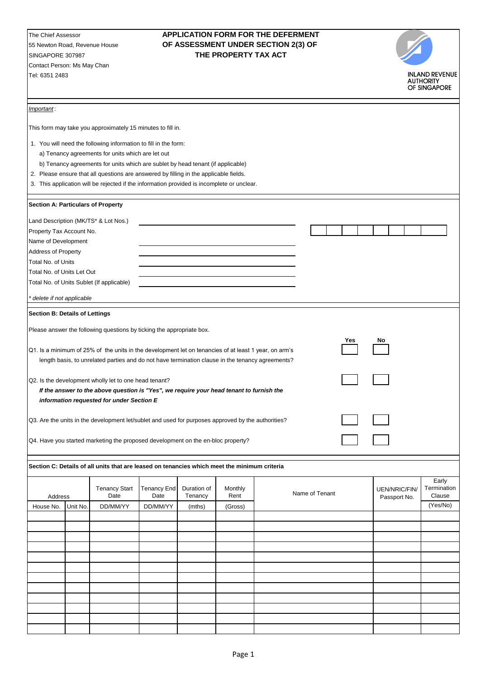The Chief Assessor 55 Newton Road, Revenue House SINGAPORE 307987 Contact Person: Ms May Chan Tel: 6351 2483

## **APPLICATION FORM FOR THE DEFERMENT OF ASSESSMENT UNDER SECTION 2(3) OF THE PROPERTY TAX ACT**



|                                                                                  |          |                                                                                                       |                    |             |         |  |                |               | <b>AUTHORITY</b><br>OF SINGAPORE |
|----------------------------------------------------------------------------------|----------|-------------------------------------------------------------------------------------------------------|--------------------|-------------|---------|--|----------------|---------------|----------------------------------|
| Important:                                                                       |          |                                                                                                       |                    |             |         |  |                |               |                                  |
|                                                                                  |          | This form may take you approximately 15 minutes to fill in.                                           |                    |             |         |  |                |               |                                  |
|                                                                                  |          | 1. You will need the following information to fill in the form:                                       |                    |             |         |  |                |               |                                  |
|                                                                                  |          | a) Tenancy agreements for units which are let out                                                     |                    |             |         |  |                |               |                                  |
|                                                                                  |          | b) Tenancy agreements for units which are sublet by head tenant (if applicable)                       |                    |             |         |  |                |               |                                  |
|                                                                                  |          | 2. Please ensure that all questions are answered by filling in the applicable fields.                 |                    |             |         |  |                |               |                                  |
|                                                                                  |          | 3. This application will be rejected if the information provided is incomplete or unclear.            |                    |             |         |  |                |               |                                  |
| <b>Section A: Particulars of Property</b>                                        |          |                                                                                                       |                    |             |         |  |                |               |                                  |
|                                                                                  |          | Land Description (MK/TS* & Lot Nos.)                                                                  |                    |             |         |  |                |               |                                  |
| Property Tax Account No.                                                         |          |                                                                                                       |                    |             |         |  |                |               |                                  |
| Name of Development                                                              |          |                                                                                                       |                    |             |         |  |                |               |                                  |
| <b>Address of Property</b>                                                       |          |                                                                                                       |                    |             |         |  |                |               |                                  |
| Total No. of Units<br>Total No. of Units Let Out                                 |          |                                                                                                       |                    |             |         |  |                |               |                                  |
|                                                                                  |          | Total No. of Units Sublet (If applicable)                                                             |                    |             |         |  |                |               |                                  |
| * delete if not applicable                                                       |          |                                                                                                       |                    |             |         |  |                |               |                                  |
|                                                                                  |          |                                                                                                       |                    |             |         |  |                |               |                                  |
| <b>Section B: Details of Lettings</b>                                            |          |                                                                                                       |                    |             |         |  |                |               |                                  |
|                                                                                  |          | Please answer the following questions by ticking the appropriate box.                                 |                    |             |         |  |                |               |                                  |
|                                                                                  |          | Q1. Is a minimum of 25% of the units in the development let on tenancies of at least 1 year, on arm's |                    |             |         |  | Yes            | No            |                                  |
|                                                                                  |          | length basis, to unrelated parties and do not have termination clause in the tenancy agreements?      |                    |             |         |  |                |               |                                  |
|                                                                                  |          |                                                                                                       |                    |             |         |  |                |               |                                  |
|                                                                                  |          | Q2. Is the development wholly let to one head tenant?                                                 |                    |             |         |  |                |               |                                  |
|                                                                                  |          | If the answer to the above question is "Yes", we require your head tenant to furnish the              |                    |             |         |  |                |               |                                  |
|                                                                                  |          | information requested for under Section E                                                             |                    |             |         |  |                |               |                                  |
|                                                                                  |          | Q3. Are the units in the development let/sublet and used for purposes approved by the authorities?    |                    |             |         |  |                |               |                                  |
|                                                                                  |          |                                                                                                       |                    |             |         |  |                |               |                                  |
| Q4. Have you started marketing the proposed development on the en-bloc property? |          |                                                                                                       |                    |             |         |  |                |               |                                  |
|                                                                                  |          |                                                                                                       |                    |             |         |  |                |               |                                  |
|                                                                                  |          | Section C: Details of all units that are leased on tenancies which meet the minimum criteria          |                    |             |         |  |                |               |                                  |
|                                                                                  |          | <b>Tenancy Start</b>                                                                                  | <b>Tenancy End</b> | Duration of | Monthly |  |                | UEN/NRIC/FIN/ | Early<br>Termination             |
| Address                                                                          |          | Date                                                                                                  | Date               | Tenancy     | Rent    |  | Name of Tenant | Passport No.  | Clause                           |
| House No.                                                                        | Unit No. | DD/MM/YY                                                                                              | DD/MM/YY           | (mths)      | (Gross) |  |                |               | (Yes/No)                         |
|                                                                                  |          |                                                                                                       |                    |             |         |  |                |               |                                  |
|                                                                                  |          |                                                                                                       |                    |             |         |  |                |               |                                  |
|                                                                                  |          |                                                                                                       |                    |             |         |  |                |               |                                  |
|                                                                                  |          |                                                                                                       |                    |             |         |  |                |               |                                  |
|                                                                                  |          |                                                                                                       |                    |             |         |  |                |               |                                  |
|                                                                                  |          |                                                                                                       |                    |             |         |  |                |               |                                  |
|                                                                                  |          |                                                                                                       |                    |             |         |  |                |               |                                  |
|                                                                                  |          |                                                                                                       |                    |             |         |  |                |               |                                  |
|                                                                                  |          |                                                                                                       |                    |             |         |  |                |               |                                  |
|                                                                                  |          |                                                                                                       |                    |             |         |  |                |               |                                  |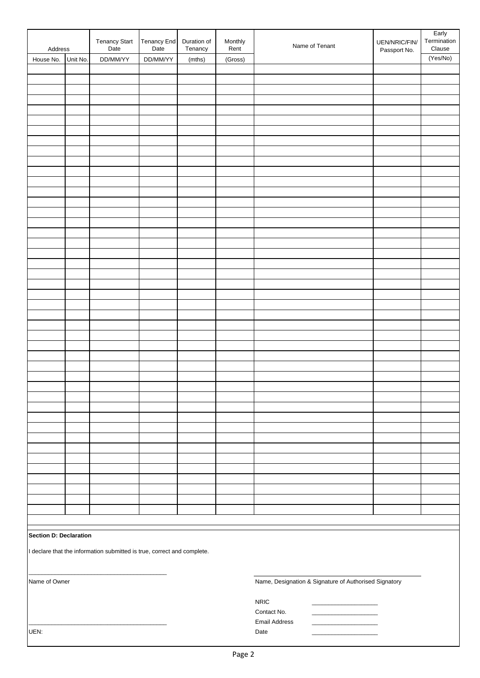| Address                                                                 |          | <b>Tenancy Start</b><br>Date | Tenancy End<br>Date | Duration of<br>Tenancy | Monthly<br>Rent | Name of Tenant | UEN/NRIC/FIN/<br>Passport No. | Early<br>Termination<br>Clause |  |
|-------------------------------------------------------------------------|----------|------------------------------|---------------------|------------------------|-----------------|----------------|-------------------------------|--------------------------------|--|
| House No.                                                               | Unit No. | DD/MM/YY                     | DD/MM/YY            | (mths)                 | (Gross)         |                |                               | (Yes/No)                       |  |
|                                                                         |          |                              |                     |                        |                 |                |                               |                                |  |
|                                                                         |          |                              |                     |                        |                 |                |                               |                                |  |
|                                                                         |          |                              |                     |                        |                 |                |                               |                                |  |
|                                                                         |          |                              |                     |                        |                 |                |                               |                                |  |
|                                                                         |          |                              |                     |                        |                 |                |                               |                                |  |
|                                                                         |          |                              |                     |                        |                 |                |                               |                                |  |
|                                                                         |          |                              |                     |                        |                 |                |                               |                                |  |
|                                                                         |          |                              |                     |                        |                 |                |                               |                                |  |
|                                                                         |          |                              |                     |                        |                 |                |                               |                                |  |
|                                                                         |          |                              |                     |                        |                 |                |                               |                                |  |
|                                                                         |          |                              |                     |                        |                 |                |                               |                                |  |
|                                                                         |          |                              |                     |                        |                 |                |                               |                                |  |
|                                                                         |          |                              |                     |                        |                 |                |                               |                                |  |
|                                                                         |          |                              |                     |                        |                 |                |                               |                                |  |
|                                                                         |          |                              |                     |                        |                 |                |                               |                                |  |
|                                                                         |          |                              |                     |                        |                 |                |                               |                                |  |
|                                                                         |          |                              |                     |                        |                 |                |                               |                                |  |
|                                                                         |          |                              |                     |                        |                 |                |                               |                                |  |
|                                                                         |          |                              |                     |                        |                 |                |                               |                                |  |
|                                                                         |          |                              |                     |                        |                 |                |                               |                                |  |
|                                                                         |          |                              |                     |                        |                 |                |                               |                                |  |
|                                                                         |          |                              |                     |                        |                 |                |                               |                                |  |
|                                                                         |          |                              |                     |                        |                 |                |                               |                                |  |
|                                                                         |          |                              |                     |                        |                 |                |                               |                                |  |
|                                                                         |          |                              |                     |                        |                 |                |                               |                                |  |
|                                                                         |          |                              |                     |                        |                 |                |                               |                                |  |
|                                                                         |          |                              |                     |                        |                 |                |                               |                                |  |
|                                                                         |          |                              |                     |                        |                 |                |                               |                                |  |
|                                                                         |          |                              |                     |                        |                 |                |                               |                                |  |
|                                                                         |          |                              |                     |                        |                 |                |                               |                                |  |
|                                                                         |          |                              |                     |                        |                 |                |                               |                                |  |
|                                                                         |          |                              |                     |                        |                 |                |                               |                                |  |
|                                                                         |          |                              |                     |                        |                 |                |                               |                                |  |
|                                                                         |          |                              |                     |                        |                 |                |                               |                                |  |
|                                                                         |          |                              |                     |                        |                 |                |                               |                                |  |
|                                                                         |          |                              |                     |                        |                 |                |                               |                                |  |
|                                                                         |          |                              |                     |                        |                 |                |                               |                                |  |
|                                                                         |          |                              |                     |                        |                 |                |                               |                                |  |
|                                                                         |          |                              |                     |                        |                 |                |                               |                                |  |
|                                                                         |          |                              |                     |                        |                 |                |                               |                                |  |
|                                                                         |          |                              |                     |                        |                 |                |                               |                                |  |
|                                                                         |          |                              |                     |                        |                 |                |                               |                                |  |
|                                                                         |          |                              |                     |                        |                 |                |                               |                                |  |
|                                                                         |          |                              |                     |                        |                 |                |                               |                                |  |
|                                                                         |          |                              |                     |                        |                 |                |                               |                                |  |
|                                                                         |          |                              |                     |                        |                 |                |                               |                                |  |
|                                                                         |          |                              |                     |                        |                 |                |                               |                                |  |
| Section D: Declaration                                                  |          |                              |                     |                        |                 |                |                               |                                |  |
| I declare that the information submitted is true, correct and complete. |          |                              |                     |                        |                 |                |                               |                                |  |
|                                                                         |          |                              |                     |                        |                 |                |                               |                                |  |
|                                                                         |          |                              |                     |                        |                 |                |                               |                                |  |
| Name of Owner<br>Name, Designation & Signature of Authorised Signatory  |          |                              |                     |                        |                 |                |                               |                                |  |

| <b>NRIC</b> |  |
|-------------|--|

|      | Contact No.   |  |
|------|---------------|--|
|      | Email Address |  |
| UEN: | Date          |  |